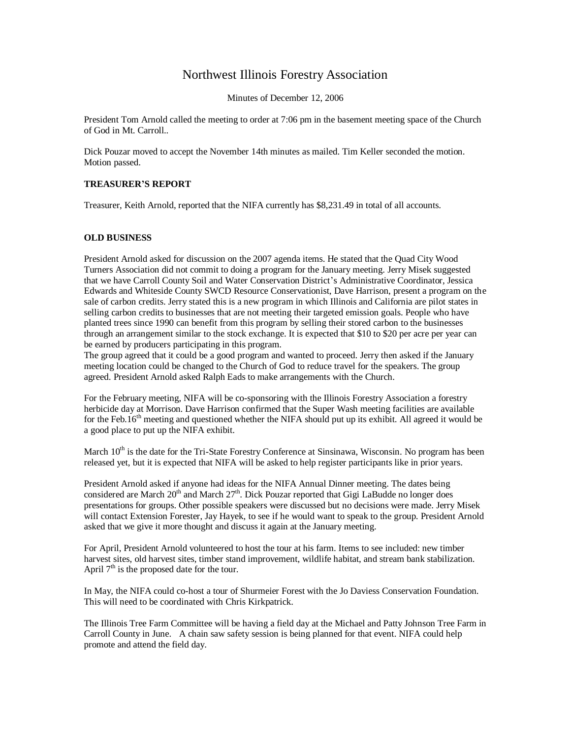## Northwest Illinois Forestry Association

Minutes of December 12, 2006

President Tom Arnold called the meeting to order at 7:06 pm in the basement meeting space of the Church of God in Mt. Carroll..

Dick Pouzar moved to accept the November 14th minutes as mailed. Tim Keller seconded the motion. Motion passed.

## **TREASURER'S REPORT**

Treasurer, Keith Arnold, reported that the NIFA currently has \$8,231.49 in total of all accounts.

## **OLD BUSINESS**

President Arnold asked for discussion on the 2007 agenda items. He stated that the Quad City Wood Turners Association did not commit to doing a program for the January meeting. Jerry Misek suggested that we have Carroll County Soil and Water Conservation District's Administrative Coordinator, Jessica Edwards and Whiteside County SWCD Resource Conservationist, Dave Harrison, present a program on the sale of carbon credits. Jerry stated this is a new program in which Illinois and California are pilot states in selling carbon credits to businesses that are not meeting their targeted emission goals. People who have planted trees since 1990 can benefit from this program by selling their stored carbon to the businesses through an arrangement similar to the stock exchange. It is expected that \$10 to \$20 per acre per year can be earned by producers participating in this program.

The group agreed that it could be a good program and wanted to proceed. Jerry then asked if the January meeting location could be changed to the Church of God to reduce travel for the speakers. The group agreed. President Arnold asked Ralph Eads to make arrangements with the Church.

For the February meeting, NIFA will be co-sponsoring with the Illinois Forestry Association a forestry herbicide day at Morrison. Dave Harrison confirmed that the Super Wash meeting facilities are available for the Feb.16<sup>th</sup> meeting and questioned whether the NIFA should put up its exhibit. All agreed it would be a good place to put up the NIFA exhibit.

March  $10<sup>th</sup>$  is the date for the Tri-State Forestry Conference at Sinsinawa, Wisconsin. No program has been released yet, but it is expected that NIFA will be asked to help register participants like in prior years.

President Arnold asked if anyone had ideas for the NIFA Annual Dinner meeting. The dates being considered are March 20<sup>th</sup> and March 27<sup>th</sup>. Dick Pouzar reported that Gigi LaBudde no longer does presentations for groups. Other possible speakers were discussed but no decisions were made. Jerry Misek will contact Extension Forester, Jay Hayek, to see if he would want to speak to the group. President Arnold asked that we give it more thought and discuss it again at the January meeting.

For April, President Arnold volunteered to host the tour at his farm. Items to see included: new timber harvest sites, old harvest sites, timber stand improvement, wildlife habitat, and stream bank stabilization. April  $7<sup>th</sup>$  is the proposed date for the tour.

In May, the NIFA could co-host a tour of Shurmeier Forest with the Jo Daviess Conservation Foundation. This will need to be coordinated with Chris Kirkpatrick.

The Illinois Tree Farm Committee will be having a field day at the Michael and Patty Johnson Tree Farm in Carroll County in June. A chain saw safety session is being planned for that event. NIFA could help promote and attend the field day.